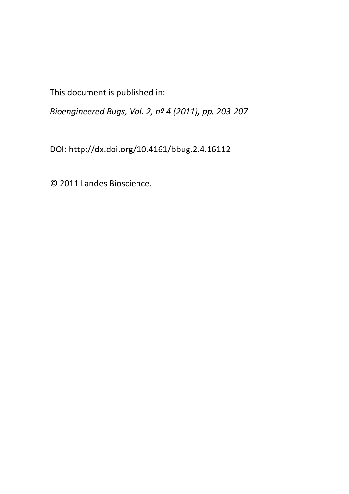This document is published in:

*Bioengineered Bugs, Vol. 2, nº 4 (2011), pp. 203-207* 

DOI: http://dx.doi.org/10.4161/bbug.2.4.16112

© 2011 Landes Bioscience.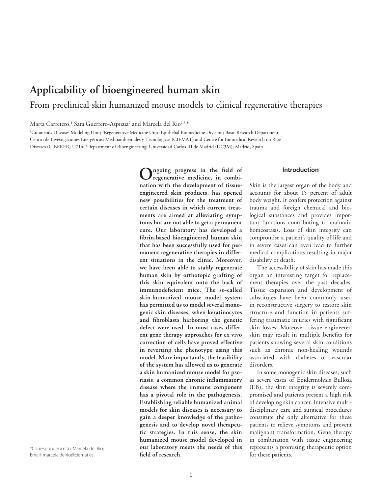# **Applicability of bioengineered human skin** From preclinical skin humanized mouse models to clinical regenerative therapies

Marta Carretero,<sup>1</sup> Sara Guerrero-Aspizua<sup>2</sup> and Marcela del Rio<sup>2,3,</sup>\*

<sup>1</sup>Cutaneous Diseases Modeling Unit; <sup>2</sup>Regenerative Medicine Unit; Epithelial Biomedicine Division; Basic Research Department; Centro de Investigaciones Energéticas; Medioambientales y Tecnológicas (CIEMAT) and Centre for Biomedical Research on Rare Diseases (CIBERER) U714; 3 Department of Bioengineering; Universidad Carlos III de Madrid (UC3M); Madrid, Spain

> **Ongoing progress in the field of regenerative medicine, in combination with the development of tissueengineered skin products, has opened new possibilities for the treatment of certain diseases in which current treatments are aimed at alleviating symptoms but are not able to get a permanent cure. Our laboratory has developed a fibrin-based bioengineered human skin that has been successfully used for permanent regenerative therapies in different situations in the clinic. Moreover, we have been able to stably regenerate human skin by orthotopic grafting of this skin equivalent onto the back of immunodeficient mice. The so-called skin-humanized mouse model system has permitted us to model several monogenic skin diseases, when keratinocytes and fibroblasts harboring the genetic defect were used. In most cases different gene therapy approaches for ex vivo correction of cells have proved effective in reverting the phenotype using this model. More importantly, the feasibility of the system has allowed us to generate a skin humanized mouse model for psoriasis, a common chronic inflammatory disease where the immune component has a pivotal role in the pathogenesis. Establishing reliable humanized animal models for skin diseases is necessary to gain a deeper knowledge of the pathogenesis and to develop novel therapeutic strategies. In this sense, the skin humanized mouse model developed in our laboratory meets the needs of this field of research.**

## **Introduction**

Skin is the largest organ of the body and accounts for about 15 percent of adult body weight. It confers protection against trauma and foreign chemical and biological substances and provides important functions contributing to maintain homeostasis. Loss of skin integrity can compromise a patient's quality of life and in severe cases can even lead to further medical complications resulting in major disability or death.

The accessibility of skin has made this organ an interesting target for replacement therapies over the past decades. Tissue expansion and development of substitutes have been commonly used in reconstructive surgery to restore skin structure and function in patients suffering traumatic injuries with significant skin losses. Moreover, tissue engineered skin may result in multiple benefits for patients showing several skin conditions such as chronic non-healing wounds associated with diabetes or vascular disorders.

In some monogenic skin diseases, such as severe cases of Epidermolysis Bullosa (EB), the skin integrity is severely compromised and patients present a high risk of developing skin cancer. Intensive multidisciplinary care and surgical procedures constitute the only alternative for these patients to relieve symptoms and prevent malignant transformation. Gene therapy in combination with tissue engineering represents a promising therapeutic option for these patients.

\*Correspondence to: Marcela del Rio; Email: marcela.delrio@ciemat.es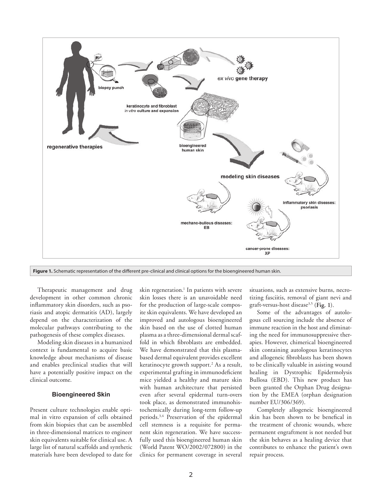

Figure 1. Schematic representation of the different pre-clinical and clinical options for the bioengineered human skin.

Therapeutic management and drug development in other common chronic inflammatory skin disorders, such as psoriasis and atopic dermatitis (AD), largely depend on the characterization of the molecular pathways contributing to the pathogenesis of these complex diseases.

Modeling skin diseases in a humanized context is fundamental to acquire basic knowledge about mechanisms of disease and enables preclinical studies that will have a potentially positive impact on the clinical outcome.

#### **Bioengineered Skin**

Present culture technologies enable optimal in vitro expansion of cells obtained from skin biopsies that can be assembled in three-dimensional matrices to engineer skin equivalents suitable for clinical use. A large list of natural scaffolds and synthetic materials have been developed to date for

skin regeneration.<sup>1</sup> In patients with severe skin losses there is an unavoidable need for the production of large-scale composite skin equivalents. We have developed an improved and autologous bioengineered skin based on the use of clotted human plasma as a three-dimensional dermal scaffold in which fibroblasts are embedded. We have demonstrated that this plasmabased dermal equivalent provides excellent keratinocyte growth support.2 As a result, experimental grafting in immunodeficient mice yielded a healthy and mature skin with human architecture that persisted even after several epidermal turn-overs took place, as demonstrated immunohistochemically during long-term follow-up periods.3,4 Preservation of the epidermal cell stemness is a requisite for permanent skin regeneration. We have successfully used this bioengineered human skin (World Patent WO/2002/072800) in the clinics for permanent coverage in several

situations, such as extensive burns, necrotizing fasciitis, removal of giant nevi and graft-versus-host disease3,5 (**Fig. 1**).

Some of the advantages of autologous cell sourcing include the absence of immune reaction in the host and eliminating the need for immunosuppressive therapies. However, chimerical bioengineered skin containing autologous keratinocytes and allogeneic fibroblasts has been shown to be clinically valuable in asisting wound healing in Dystrophic Epidermolysis Bullosa (EBD). This new product has been granted the Orphan Drug designation by the EMEA (orphan designation number EU/306/369).

Completely allogeneic bioengineered skin has been shown to be benefical in the treatment of chronic wounds, where permanent engraftment is not needed but the skin behaves as a healing device that contributes to enhance the patient's own repair process.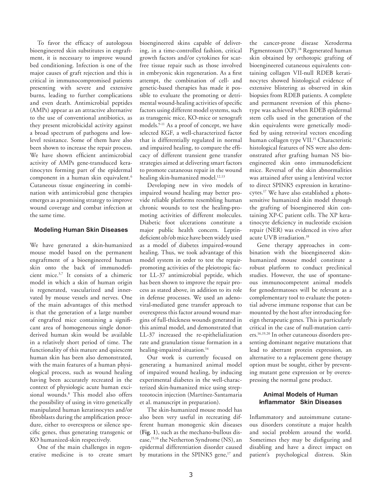To favor the efficacy of autologous bioengineered skin substitutes in engraftment, it is necessary to improve wound bed conditioning. Infection is one of the major causes of graft rejection and this is critical in immunocompromised patients presenting with severe and extensive burns, leading to further complications and even death. Antimicrobial peptides (AMPs) appear as an attractive alternative to the use of conventional antibiotics, as they present microbicidal activity against a broad spectrum of pathogens and lowlevel resistance. Some of them have also been shown to increase the repair process. We have shown efficient antimicrobial activity of AMPs gene-transduced keratinocytes forming part of the epidermal component in a human skin equivalent.<sup>6</sup> Cutaneous tissue engineering in combination with antimicrobial gene therapies emerges as a promising strategy to improve wound coverage and combat infection at the same time.

### **Modeling Human Skin Diseases**

We have generated a skin-humanized mouse model based on the permanent engraftment of a bioengineered human skin onto the back of immunodeficient mice.3,7 It consists of a chimeric model in which a skin of human origin is regenerated, vascularized and innervated by mouse vessels and nerves. One of the main advantages of this method is that the generation of a large number of engrafted mice containing a significant area of homogeneous single donorderived human skin would be available in a relatively short period of time. The functionality of this mature and quiescent human skin has been also demonstrated, with the main features of a human physiological process, such as wound healing having been accurately recreated in the context of physiologic acute human excisional wounds.8 This model also offers the possibility of using in vitro genetically manipulated human keratinocytes and/or fibroblasts during the amplification procedure, either to overexpress or silence specific genes, thus generating transgenic or KO humanized-skin respectively.

One of the main challenges in regenerative medicine is to create smart bioengineered skins capable of delivering, in a time-controlled fashion, critical growth factors and/or cytokines for scarfree tissue repair such as those involved in embryonic skin regeneration. As a first attempt, the combination of cell- and genetic-based therapies has made it possible to evaluate the promoting or detrimental wound-healing activities of specific factors using different model systems, such as transgenic mice, KO-mice or xenograft models.<sup>9-11</sup> As a proof of concept, we have selected KGF, a well-characterized factor that is differentially regulated in normal and impaired healing, to compare the efficacy of different transient gene transfer strategies aimed at delivering smart factors to promote cutaneous repair in the wound healing skin-humanized model.<sup>12,13</sup>

Developing new in vivo models of impaired wound healing may better provide reliable platforms resembling human chronic wounds to test the healing-promoting activities of different molecules. Diabetic foot ulcerations constitute a major public health concern. Leptindeficient ob/ob mice have been widely used as a model of diabetes impaired-wound healing. Thus, we took advantage of this model system in order to test the repairpromoting activities of the pleiotropic factor LL-37 antimicrobial peptide, which has been shown to improve the repair process as stated above, in addition to its role in defense processes. We used an adenoviral-mediated gene transfer approach to overexpress this factor around wound margins of full-thickness wounds generated in this animal model, and demonstrated that LL-37 increased the re-epithelialization rate and granulation tissue formation in a healing-impaired situation.<sup>14</sup>

Our work is currently focused on generating a humanized animal model of impaired wound healing, by inducing experimental diabetes in the well-characterized skin-humanized mice using streptozotocin injection (Martínez-Santamaria et al. manuscript in preparation).

The skin-humanized mouse model has also been very useful in recreating different human monogenic skin diseases (**Fig. 1**), such as the mechano-bullous disease,<sup>15,16</sup> the Netherton Syndrome (NS), an epidermal differentiation disorder caused by mutations in the SPINK5 gene,<sup>17</sup> and

the cancer-prone disease Xeroderma Pigmentosum (XP).18 Regenerated human skin obtained by orthotopic grafting of bioengineered cutaneous equivalents containing collagen VII-null RDEB keratinocytes showed histological evidence of extensive blistering as observed in skin biopsies from RDEB patients. A complete and permanent reversion of this phenotype was achieved when RDEB epidermal stem cells used in the generation of the skin equivalents were genetically modified by using retroviral vectors encoding human collagen type VII.<sup>15</sup> Characteristic histological features of NS were also demonstrated after grafting human NS bioengineered skin onto immunodeficient mice. Reversal of the skin abnormalities was attained after using a lentiviral vector to direct SPINK5 expression in keratinocytes.17 We have also established a photosensitive humanized skin model through the grafting of bioengineered skin containing XP-C patient cells. The XP keratinocyte deficiency in nucleotide excision repair (NER) was evidenced in vivo after acute UVB irradiation.<sup>18</sup>

Gene therapy approaches in combination with the bioengineered skinhumanized mouse model constitute a robust platform to conduct preclinical studies. However, the use of spontaneous immunocompetent animal models for genodermatoses will be relevant as a complementary tool to evaluate the potential adverse immune response that can be mounted by the host after introducing foreign therapeutic genes. This is particularly critical in the case of null-mutation carriers.16,19,20 In other cutaneous disorders presenting dominant negative mutations that lead to aberrant protein expression, an alternative to a replacement gene therapy option must be sought, either by preventing mutant gene expression or by overexpressing the normal gene product.

## **Animal Models of Human Inflammator Skin Diseases**

Inflammatory and autoimmune cutaneous disorders constitute a major health and social problem around the world. Sometimes they may be disfiguring and disabling and have a direct impact on patient's psychological distress. Skin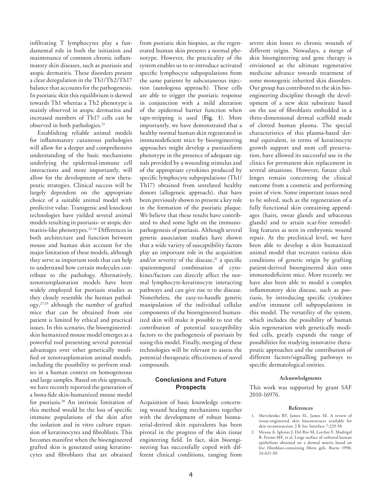infiltrating T lymphocytes play a fundamental role in both the initiation and maintenance of common chronic inflammatory skin diseases, such as psoriasis and atopic dermatitis. These disorders present a clear deregulation in the Th1/Th2/Th17 balance that accounts for the pathogenesis. In psoriatic skin this equilibrium is skewed towards Th1 whereas a Th2 phenotype is mainly observed in atopic dermatitis and increased numbers of Th17 cells can be observed in both pathologies.<sup>21</sup>

Establishing reliable animal models for inflammatory cutaneous pathologies will allow for a deeper and comprehensive understanding of the basic mechanisms underlying the epidermal-immune cell interactions and more importantly, will allow for the development of new therapeutic strategies. Clinical success will be largely dependent on the appropriate choice of a suitable animal model with predictive value. Transgenic and knockout technologies have yielded several animal models resulting in psoriasis- or atopic dermatitis-like phenotypes.22-26 Differences in both architecture and function between mouse and human skin account for the major limitation of these models, although they serve as important tools that can help to understand how certain molecules contribute to the pathology. Alternatively, xenotransplantation models have been widely employed for psoriasis studies as they closely resemble the human pathology,27-29 although the number of grafted mice that can be obtained from one patient is limited by ethical and practical issues. In this scenario, the bioengineeredskin humanized mouse model emerges as a powerful tool presenting several potential advantages over other genetically modified or xenotrasplantation animal models, including the possibility to perform studies in a human context on homogeneous and large samples. Based on this approach, we have recently reported the generation of a bona-fide skin-humanized mouse model for psoriasis.30 An intrinsic limitation of this method would be the loss of specific immune populations of the skin after the isolation and in vitro culture expansion of keratinocytes and fibroblasts. This becomes manifest when the bioengineered grafted skin is generated using keratinocytes and fibroblasts that are obtained

from psoriatic skin biopsies, as the regenerated human skin presents a normal phenotype. However, the practicality of the system enables us to re-introduce activated specific lymphocyte subpopulations from the same patients by subcutaneous injection (autologous approach). These cells are able to trigger the psoriatic response in conjunction with a mild alteration of the epidermal barrier function when tape-stripping is used (**Fig. 1**). More importantly, we have demonstrated that a healthy normal human skin regenerated in immunodeficient mice by bioengineering approaches might develop a psoriasiform phenotype in the presence of adequate signals provided by a wounding stimulus and of the appropriate cytokines produced by specific lymphocyte subpopulations (Th1/ Th17) obtained from unrelated healthy donors (allogeneic approach), that have been previously shown to present a key role in the formation of the psoriatic plaque. We believe that these results have contributed to shed some light on the immunopathogenesis of psoriasis. Although several genetic association studies have shown that a wide variety of susceptibility factors play an important role in the acquisition and/or severity of the disease, $31$  a specific spatiotemporal combination of cytokines/factors can directly affect the normal lymphocyte-keratinocyte interacting pathways and can give rise to the disease. Nonetheless, the easy-to-handle genetic manipulation of the individual cellular components of the bioengineered humanized skin will make it possible to test the contribution of potential susceptibility factors to the pathogenesis of psoriasis by using this model. Finally, merging of these technologies will be relevant to assess the potential therapeutic effectiveness of novel compounds.

## **Conclusions and Future Prospects**

Acquisition of basic knowledge concerning wound healing mechanisms together with the development of robust biomaterial-derived skin equivalents has been pivotal in the progress of the skin tissue engineering field. In fact, skin bioengineering has successfully coped with different clinical conditions, ranging from severe skin losses to chronic wounds of different origin. Nowadays, a merge of skin bioengineering and gene therapy is envisioned as the ultimate regenerative medicine advance towards treatment of some monogenic inherited skin disorders. Our group has contributed to the skin bioengineering discipline through the development of a new skin substitute based on the use of fibroblasts embedded in a three-dimensional dermal scaffold made of clotted human plasma. The special characteristics of this plasma-based dermal equivalent, in terms of keratinocyte growth support and stem cell preservation, have allowed its successful use in the clinics for permanent skin replacement in several situations. However, future challenges remain concerning the clinical outcome from a cosmetic and performing point of view. Some important issues need to be solved, such as the regeneration of a fully functional skin containing appendages (hairs, sweat glands and sebaceous glands) and to attain scar-free remodelling features as seen in embryonic wound repair. At the preclinical level, we have been able to develop a skin humanized animal model that recreates various skin conditions of genetic origin by grafting patient-derived bioengineered skin onto immunodeficient mice. More recently, we have also been able to model a complex inflammatory skin disease, such as psoriasis, by introducing specific cytokines and/or immune cell subpopulations in this model. The versatility of the system, which includes the possibility of human skin regeneration with genetically modified cells, greatly expands the range of possibilities for studying innovative therapeutic approaches and the contribution of different factors/signalling pathways to specific dermatological entities.

#### **Acknowledgments**

This work was supported by grant SAF 2010-16976.

#### **References**

- 1. Shevchenko RV, James SL, James SE. A review of tissue-engineered skin bioconstructs available for skin reconstruction. J R Soc Interface 7:229-58.
- 2. Meana A, Iglesias J, Del Rio M, Larcher F, Madrigal B, Fresno MF, et al. Large surface of cultured human epithelium obtained on a dermal matrix based on live fibroblast-containing fibrin gels. Burns 1998; 24:621-30.